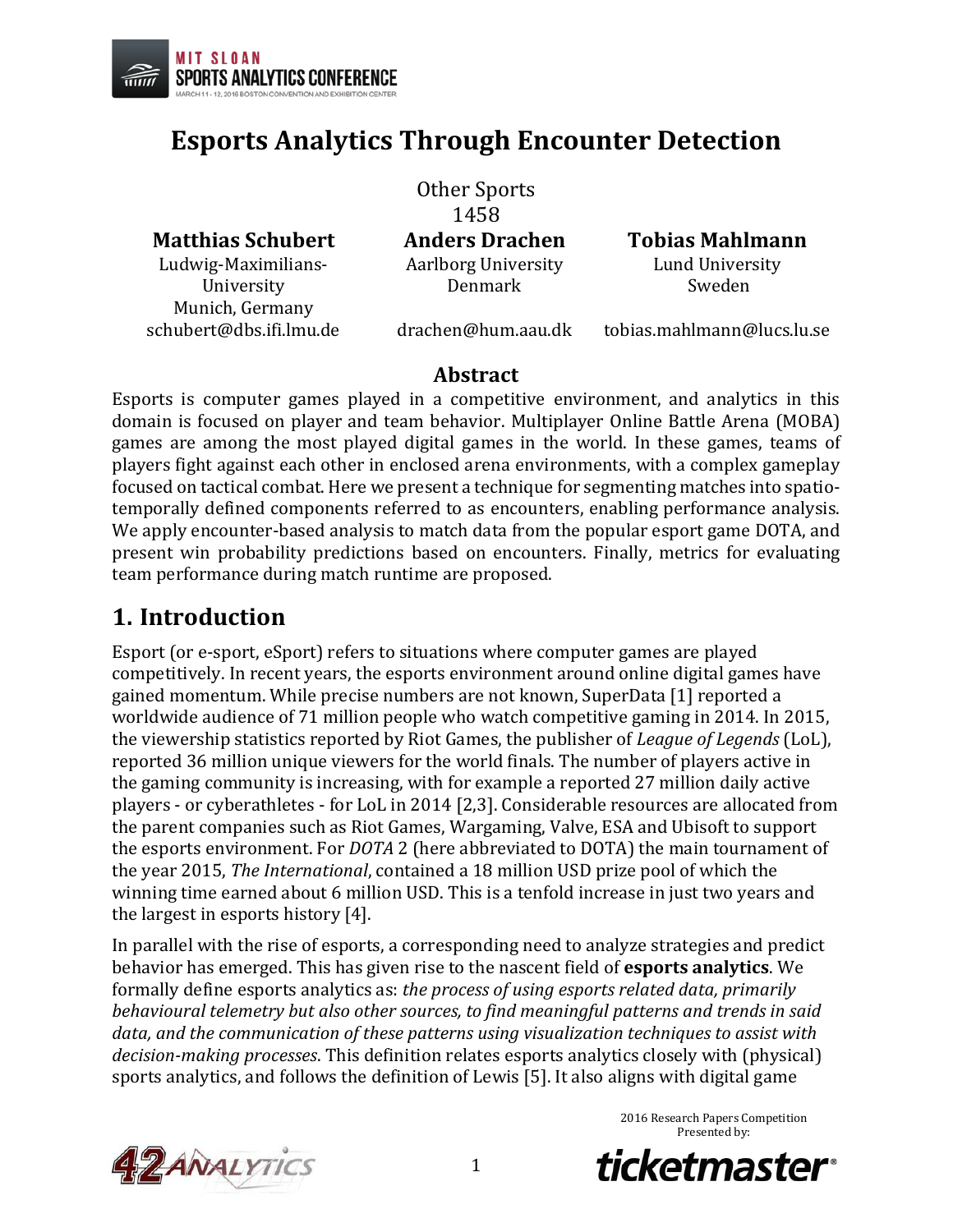

Ludwig-Maximilians-University

## **Esports Analytics Through Encounter Detection**

Other Sports 1458<br>Anders Drachen Aarlborg University Denmark

**Matthias Schubert Anders Drachen Tobias Mahlmann** Lund University Sweden

Munich, Germany<br>schubert@dbs.ifi.lmu.de

 $drachen@hum.aau.dk$  tobias.mahlmann@lucs.lu.se

### **Abstract**

Esports is computer games played in a competitive environment, and analytics in this domain is focused on player and team behavior. Multiplayer Online Battle Arena (MOBA) games are among the most played digital games in the world. In these games, teams of players fight against each other in enclosed arena environments, with a complex gameplay focused on tactical combat. Here we present a technique for segmenting matches into spatiotemporally defined components referred to as encounters, enabling performance analysis. We apply encounter-based analysis to match data from the popular esport game DOTA, and present win probability predictions based on encounters. Finally, metrics for evaluating team performance during match runtime are proposed.

### **1. Introduction**

Esport (or e-sport, eSport) refers to situations where computer games are played competitively. In recent years, the esports environment around online digital games have gained momentum. While precise numbers are not known, SuperData [1] reported a worldwide audience of 71 million people who watch competitive gaming in 2014. In 2015, the viewership statistics reported by Riot Games, the publisher of *League of Legends* (LoL), reported 36 million unique viewers for the world finals. The number of players active in the gaming community is increasing, with for example a reported 27 million daily active players - or cyberathletes - for LoL in 2014 [2,3]. Considerable resources are allocated from the parent companies such as Riot Games, Wargaming, Valve, ESA and Ubisoft to support the esports environment. For *DOTA* 2 (here abbreviated to DOTA) the main tournament of the year 2015, *The International*, contained a 18 million USD prize pool of which the winning time earned about 6 million USD. This is a tenfold increase in just two years and the largest in esports history [4].

In parallel with the rise of esports, a corresponding need to analyze strategies and predict behavior has emerged. This has given rise to the nascent field of **esports analytics**. We formally define esports analytics as: *the process of using esports related data, primarily behavioural telemetry but also other sources, to find meaningful patterns and trends in said data, and the communication of these patterns using visualization techniques to assist with decision-making processes*. This definition relates esports analytics closely with (physical) sports analytics, and follows the definition of Lewis [5]. It also aligns with digital game



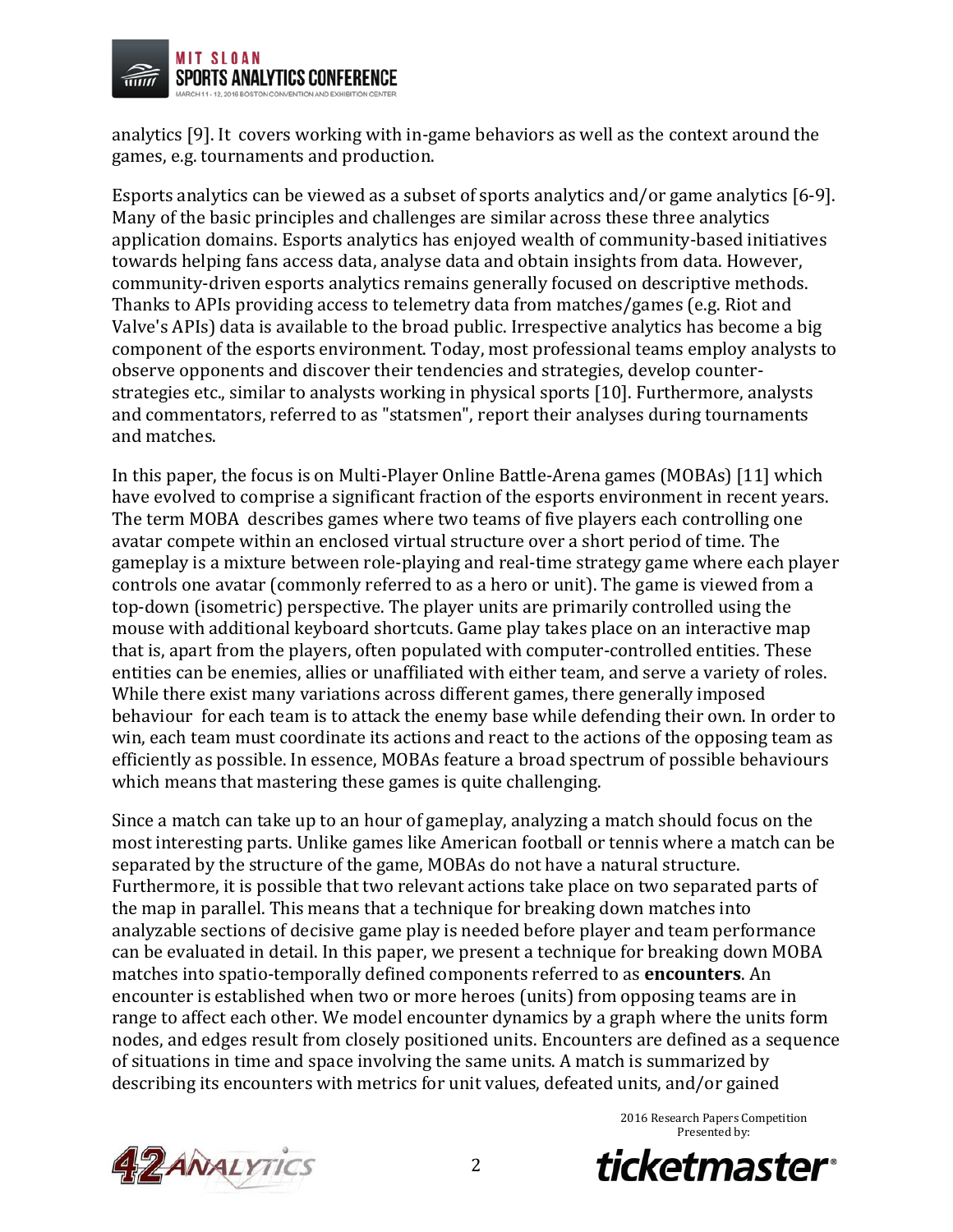

analytics [9]. It covers working with in-game behaviors as well as the context around the games, e.g. tournaments and production.

Esports analytics can be viewed as a subset of sports analytics and/or game analytics [6-9]. Many of the basic principles and challenges are similar across these three analytics application domains. Esports analytics has enjoyed wealth of community-based initiatives towards helping fans access data, analyse data and obtain insights from data. However, community-driven esports analytics remains generally focused on descriptive methods. Thanks to APIs providing access to telemetry data from matches/games (e.g. Riot and Valve's APIs) data is available to the broad public. Irrespective analytics has become a big component of the esports environment. Today, most professional teams employ analysts to observe opponents and discover their tendencies and strategies, develop counterstrategies etc., similar to analysts working in physical sports [10]. Furthermore, analysts and commentators, referred to as "statsmen", report their analyses during tournaments and matches.

In this paper, the focus is on Multi-Player Online Battle-Arena games (MOBAs) [11] which have evolved to comprise a significant fraction of the esports environment in recent years. The term MOBA describes games where two teams of five players each controlling one avatar compete within an enclosed virtual structure over a short period of time. The gameplay is a mixture between role-playing and real-time strategy game where each player controls one avatar (commonly referred to as a hero or unit). The game is viewed from a top-down (isometric) perspective. The player units are primarily controlled using the mouse with additional keyboard shortcuts. Game play takes place on an interactive map that is, apart from the players, often populated with computer-controlled entities. These entities can be enemies, allies or unaffiliated with either team, and serve a variety of roles. While there exist many variations across different games, there generally imposed behaviour for each team is to attack the enemy base while defending their own. In order to win, each team must coordinate its actions and react to the actions of the opposing team as efficiently as possible. In essence, MOBAs feature a broad spectrum of possible behaviours which means that mastering these games is quite challenging.

Since a match can take up to an hour of gameplay, analyzing a match should focus on the most interesting parts. Unlike games like American football or tennis where a match can be separated by the structure of the game, MOBAs do not have a natural structure. Furthermore, it is possible that two relevant actions take place on two separated parts of the map in parallel. This means that a technique for breaking down matches into analyzable sections of decisive game play is needed before player and team performance can be evaluated in detail. In this paper, we present a technique for breaking down MOBA matches into spatio-temporally defined components referred to as **encounters**. An encounter is established when two or more heroes (units) from opposing teams are in range to affect each other. We model encounter dynamics by a graph where the units form nodes, and edges result from closely positioned units. Encounters are defined as a sequence of situations in time and space involving the same units. A match is summarized by describing its encounters with metrics for unit values, defeated units, and/or gained





*ticketmaster*<sup>®</sup>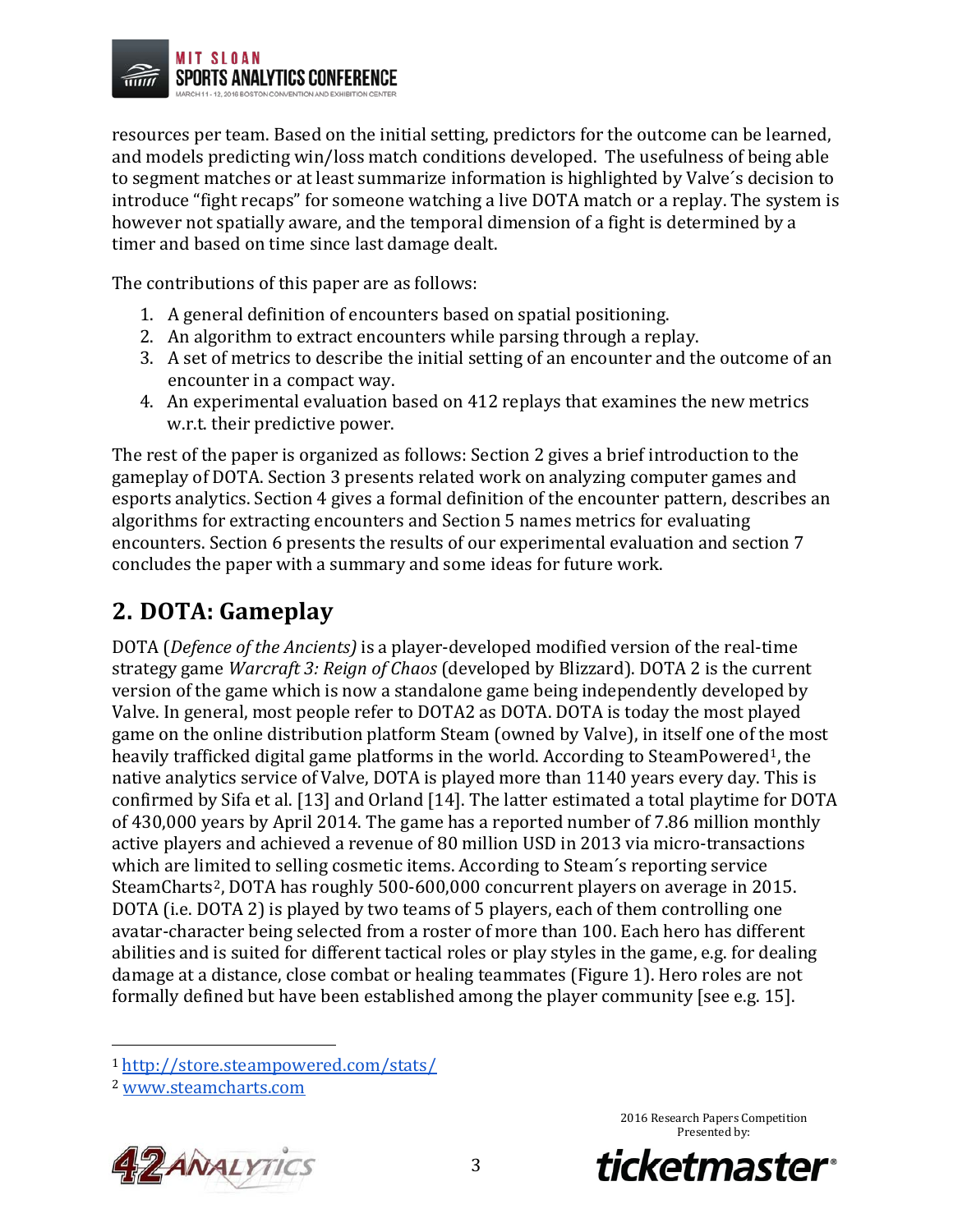

resources per team. Based on the initial setting, predictors for the outcome can be learned, and models predicting win/loss match conditions developed. The usefulness of being able to segment matches or at least summarize information is highlighted by Valve´s decision to introduce "fight recaps" for someone watching a live DOTA match or a replay. The system is however not spatially aware, and the temporal dimension of a fight is determined by a timer and based on time since last damage dealt.

The contributions of this paper are as follows:

- 1. A general definition of encounters based on spatial positioning.
- 2. An algorithm to extract encounters while parsing through a replay.
- 3. A set of metrics to describe the initial setting of an encounter and the outcome of an encounter in a compact way.
- 4. An experimental evaluation based on 412 replays that examines the new metrics w.r.t. their predictive power.

The rest of the paper is organized as follows: Section 2 gives a brief introduction to the gameplay of DOTA. Section 3 presents related work on analyzing computer games and esports analytics. Section 4 gives a formal definition of the encounter pattern, describes an algorithms for extracting encounters and Section 5 names metrics for evaluating encounters. Section 6 presents the results of our experimental evaluation and section 7 concludes the paper with a summary and some ideas for future work.

## **2. DOTA: Gameplay**

DOTA (*Defence of the Ancients)* is a player-developed modified version of the real-time strategy game *Warcraft 3: Reign of Chaos* (developed by Blizzard). DOTA 2 is the current version of the game which is now a standalone game being independently developed by Valve. In general, most people refer to DOTA2 as DOTA. DOTA is today the most played game on the online distribution platform Steam (owned by Valve), in itself one of the most heavily trafficked digital game platforms in the world. According to SteamPowered<sup>1</sup>, the native analytics service of Valve, DOTA is played more than 1140 years every day. This is confirmed by Sifa et al. [13] and Orland [14]. The latter estimated a total playtime for DOTA of 430,000 years by April 2014. The game has a reported number of 7.86 million monthly active players and achieved a revenue of 80 million USD in 2013 via micro-transactions which are limited to selling cosmetic items. According to Steam´s reporting service SteamCharts<sup>[2](#page-2-1)</sup>, DOTA has roughly 500-600,000 concurrent players on average in 2015. DOTA (i.e. DOTA 2) is played by two teams of 5 players, each of them controlling one avatar-character being selected from a roster of more than 100. Each hero has different abilities and is suited for different tactical roles or play styles in the game, e.g. for dealing damage at a distance, close combat or healing teammates (Figure 1). Hero roles are not formally defined but have been established among the player community [see e.g. 15].

<span id="page-2-1"></span><span id="page-2-0"></span><sup>2</sup> [www.steamcharts.com](http://www.steamcharts.com/)





 <sup>1</sup> <http://store.steampowered.com/stats/>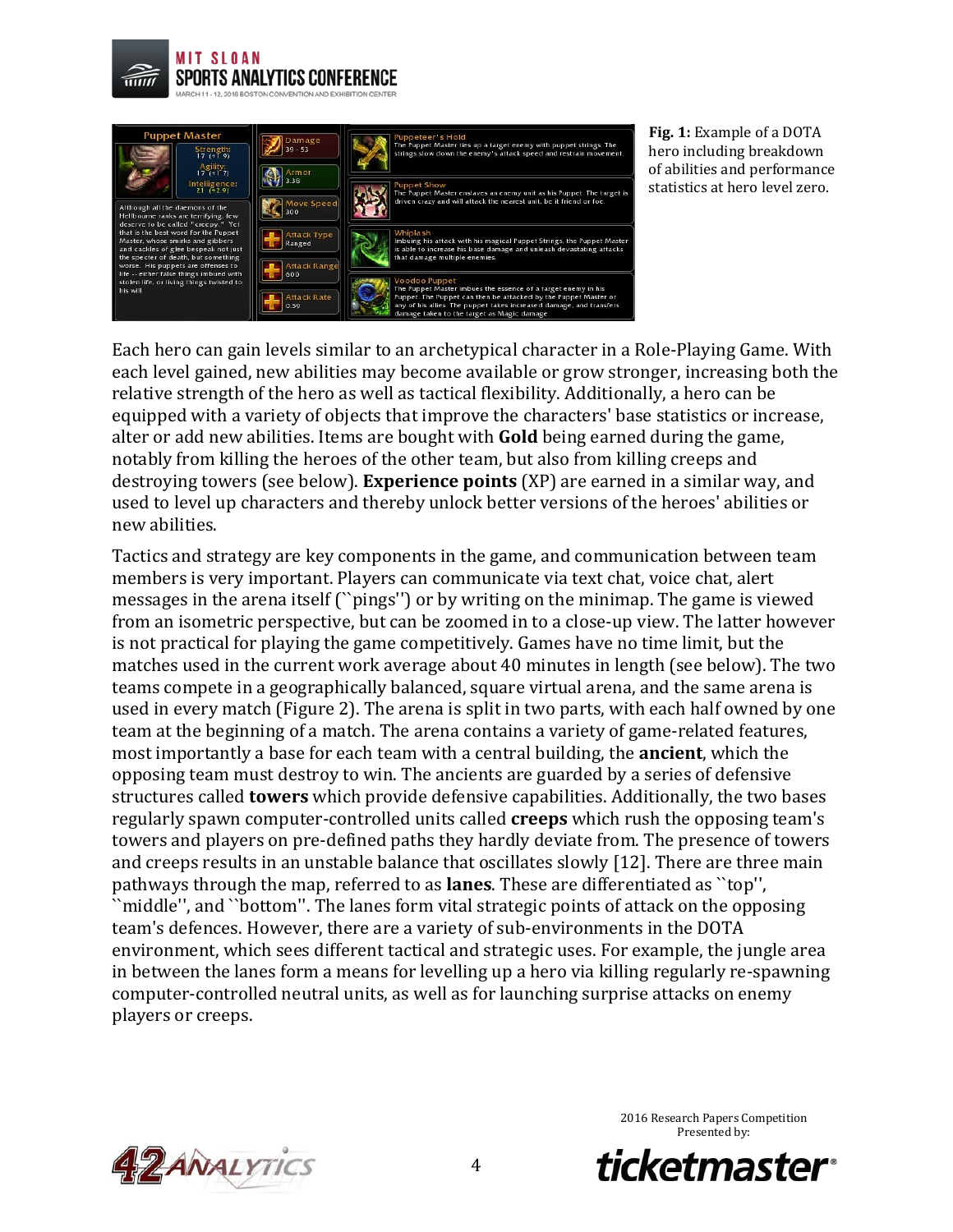



**Fig. 1:** Example of a DOTA hero including breakdown of abilities and performance statistics at hero level zero.

Each hero can gain levels similar to an archetypical character in a Role-Playing Game. With each level gained, new abilities may become available or grow stronger, increasing both the relative strength of the hero as well as tactical flexibility. Additionally, a hero can be equipped with a variety of objects that improve the characters' base statistics or increase, alter or add new abilities. Items are bought with **Gold** being earned during the game, notably from killing the heroes of the other team, but also from killing creeps and destroying towers (see below). **Experience points** (XP) are earned in a similar way, and used to level up characters and thereby unlock better versions of the heroes' abilities or new abilities.

Tactics and strategy are key components in the game, and communication between team members is very important. Players can communicate via text chat, voice chat, alert messages in the arena itself (``pings'') or by writing on the minimap. The game is viewed from an isometric perspective, but can be zoomed in to a close-up view. The latter however is not practical for playing the game competitively. Games have no time limit, but the matches used in the current work average about 40 minutes in length (see below). The two teams compete in a geographically balanced, square virtual arena, and the same arena is used in every match (Figure 2). The arena is split in two parts, with each half owned by one team at the beginning of a match. The arena contains a variety of game-related features, most importantly a base for each team with a central building, the **ancient**, which the opposing team must destroy to win. The ancients are guarded by a series of defensive structures called **towers** which provide defensive capabilities. Additionally, the two bases regularly spawn computer-controlled units called **creeps** which rush the opposing team's towers and players on pre-defined paths they hardly deviate from. The presence of towers and creeps results in an unstable balance that oscillates slowly [12]. There are three main pathways through the map, referred to as **lanes**. These are differentiated as ``top'', ``middle'', and ``bottom''. The lanes form vital strategic points of attack on the opposing team's defences. However, there are a variety of sub-environments in the DOTA environment, which sees different tactical and strategic uses. For example, the jungle area in between the lanes form a means for levelling up a hero via killing regularly re-spawning computer-controlled neutral units, as well as for launching surprise attacks on enemy players or creeps.



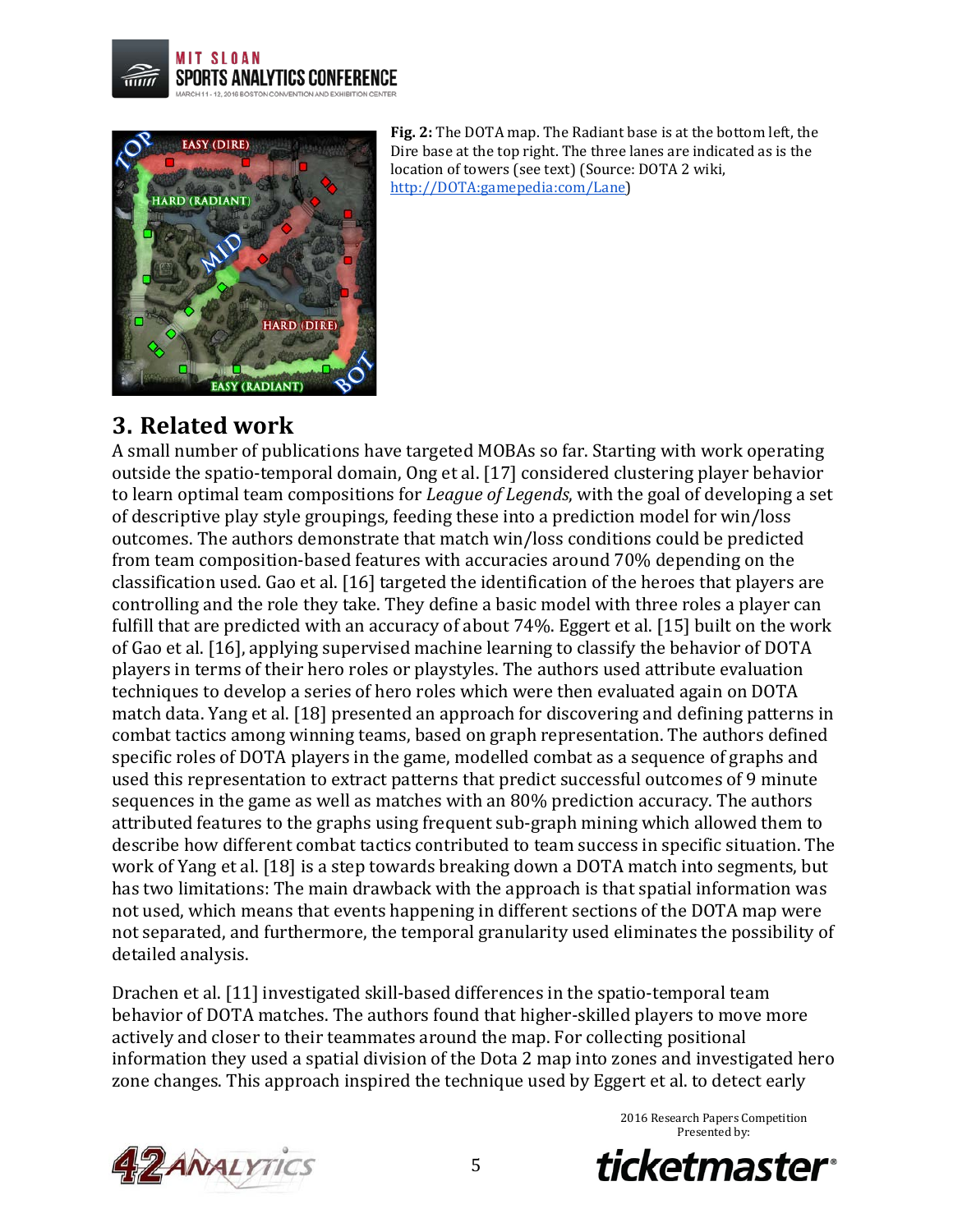



**Fig. 2:** The DOTA map. The Radiant base is at the bottom left, the Dire base at the top right. The three lanes are indicated as is the location of towers (see text) (Source: DOTA 2 wiki, http://DOTA:gamepedia:com/Lane)

### **3. Related work**

A small number of publications have targeted MOBAs so far. Starting with work operating outside the spatio-temporal domain, Ong et al. [17] considered clustering player behavior to learn optimal team compositions for *League of Legends*, with the goal of developing a set of descriptive play style groupings, feeding these into a prediction model for win/loss outcomes. The authors demonstrate that match win/loss conditions could be predicted from team composition-based features with accuracies around 70% depending on the classification used. Gao et al. [16] targeted the identification of the heroes that players are controlling and the role they take. They define a basic model with three roles a player can fulfill that are predicted with an accuracy of about 74%. Eggert et al. [15] built on the work of Gao et al. [16], applying supervised machine learning to classify the behavior of DOTA players in terms of their hero roles or playstyles. The authors used attribute evaluation techniques to develop a series of hero roles which were then evaluated again on DOTA match data. Yang et al. [18] presented an approach for discovering and defining patterns in combat tactics among winning teams, based on graph representation. The authors defined specific roles of DOTA players in the game, modelled combat as a sequence of graphs and used this representation to extract patterns that predict successful outcomes of 9 minute sequences in the game as well as matches with an 80% prediction accuracy. The authors attributed features to the graphs using frequent sub-graph mining which allowed them to describe how different combat tactics contributed to team success in specific situation. The work of Yang et al. [18] is a step towards breaking down a DOTA match into segments, but has two limitations: The main drawback with the approach is that spatial information was not used, which means that events happening in different sections of the DOTA map were not separated, and furthermore, the temporal granularity used eliminates the possibility of detailed analysis.

Drachen et al. [11] investigated skill-based differences in the spatio-temporal team behavior of DOTA matches. The authors found that higher-skilled players to move more actively and closer to their teammates around the map. For collecting positional information they used a spatial division of the Dota 2 map into zones and investigated hero zone changes. This approach inspired the technique used by Eggert et al. to detect early



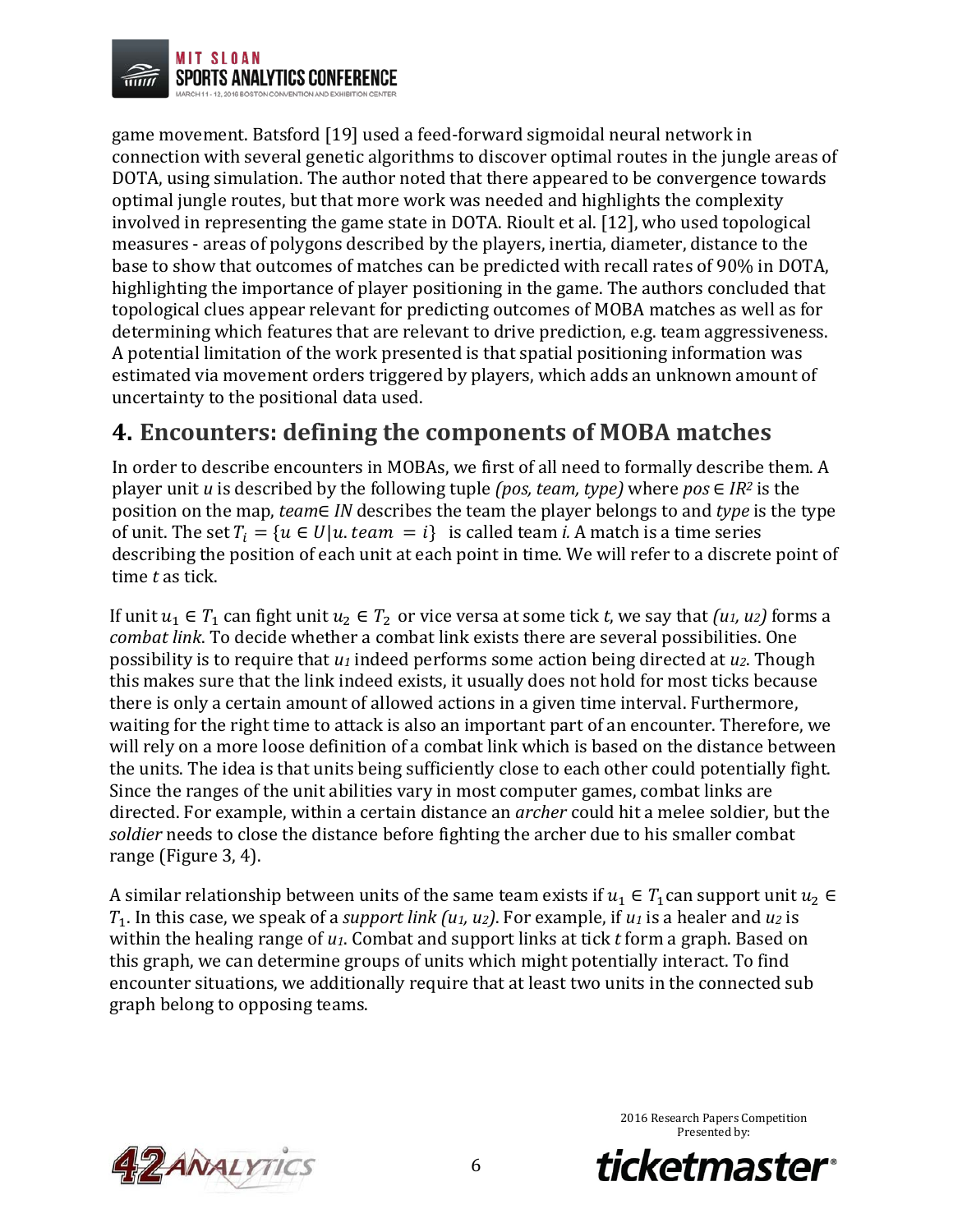

game movement. Batsford [19] used a feed-forward sigmoidal neural network in connection with several genetic algorithms to discover optimal routes in the jungle areas of DOTA, using simulation. The author noted that there appeared to be convergence towards optimal jungle routes, but that more work was needed and highlights the complexity involved in representing the game state in DOTA. Rioult et al. [12], who used topological measures - areas of polygons described by the players, inertia, diameter, distance to the base to show that outcomes of matches can be predicted with recall rates of 90% in DOTA, highlighting the importance of player positioning in the game. The authors concluded that topological clues appear relevant for predicting outcomes of MOBA matches as well as for determining which features that are relevant to drive prediction, e.g. team aggressiveness. A potential limitation of the work presented is that spatial positioning information was estimated via movement orders triggered by players, which adds an unknown amount of uncertainty to the positional data used.

### **4. Encounters: defining the components of MOBA matches**

In order to describe encounters in MOBAs, we first of all need to formally describe them. A player unit *u* is described by the following tuple *(pos, team, type)* where  $pos \in IR^2$  is the position on the map, *team*∈ *IN* describes the team the player belongs to and *type* is the type of unit. The set  $T_i = \{u \in U | u \text{.} \text{ team} = i\}$  is called team *i*. A match is a time series describing the position of each unit at each point in time. We will refer to a discrete point of time *t* as tick.

If unit  $u_1 \in T_1$  can fight unit  $u_2 \in T_2$  or vice versa at some tick *t*, we say that *(u<sub>1</sub>, u<sub>2</sub>)* forms a *combat link*. To decide whether a combat link exists there are several possibilities. One possibility is to require that *u1* indeed performs some action being directed at *u2*. Though this makes sure that the link indeed exists, it usually does not hold for most ticks because there is only a certain amount of allowed actions in a given time interval. Furthermore, waiting for the right time to attack is also an important part of an encounter. Therefore, we will rely on a more loose definition of a combat link which is based on the distance between the units. The idea is that units being sufficiently close to each other could potentially fight. Since the ranges of the unit abilities vary in most computer games, combat links are directed. For example, within a certain distance an *archer* could hit a melee soldier, but the *soldier* needs to close the distance before fighting the archer due to his smaller combat range (Figure 3, 4).

A similar relationship between units of the same team exists if  $u_1 \in T_1$  can support unit  $u_2 \in$  $T_1$ . In this case, we speak of a *support link*  $(u_1, u_2)$ . For example, if  $u_1$  is a healer and  $u_2$  is within the healing range of *u1*. Combat and support links at tick *t* form a graph. Based on this graph, we can determine groups of units which might potentially interact. To find encounter situations, we additionally require that at least two units in the connected sub graph belong to opposing teams.



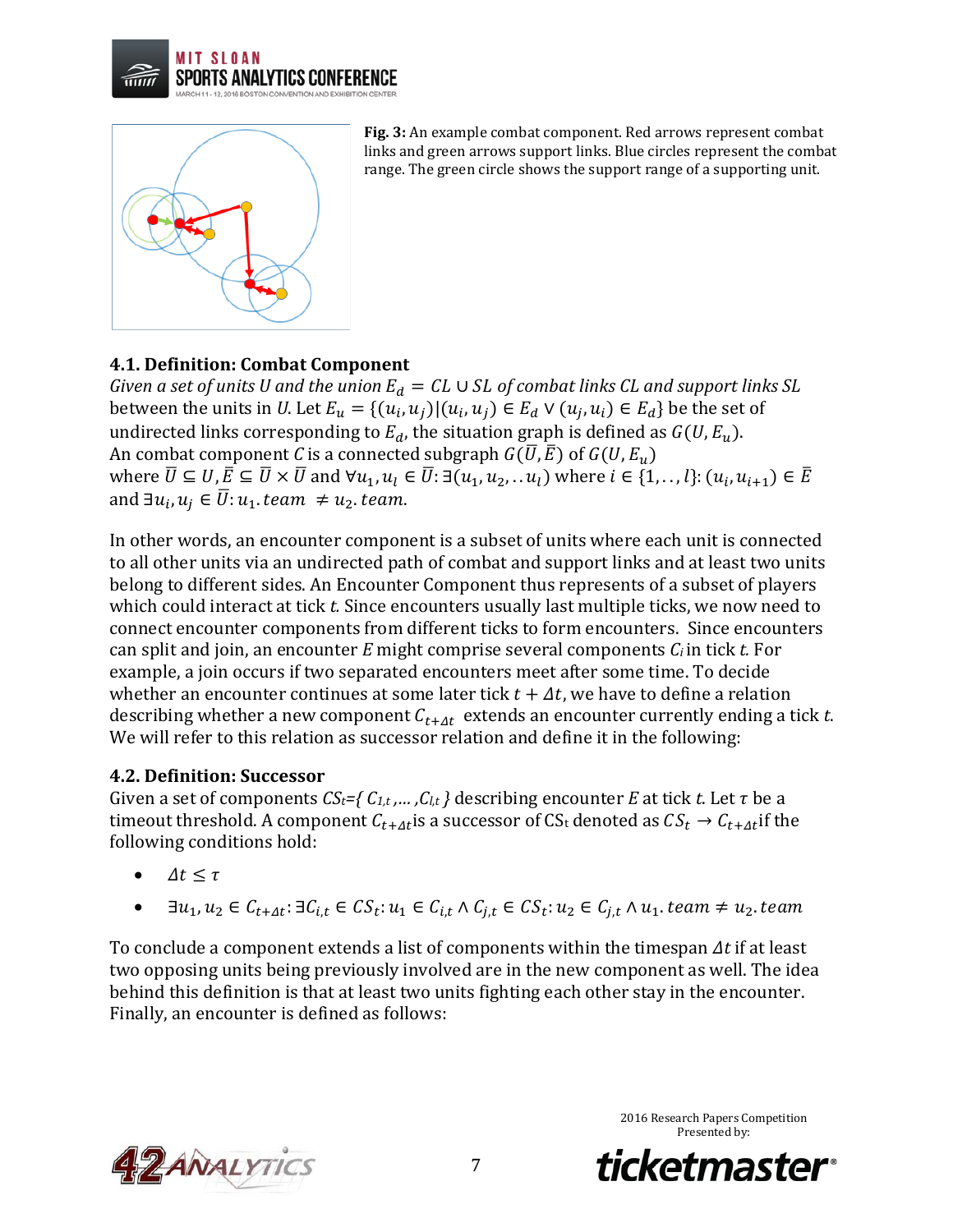



**Fig. 3:** An example combat component. Red arrows represent combat links and green arrows support links. Blue circles represent the combat range. The green circle shows the support range of a supporting unit.

### **4.1. Definition: Combat Component**

*Given a set of units U and the union*  $E_d = CL \cup SL$  *of combat links CL and support links SL* between the units in *U*. Let  $E_u = \{(u_i, u_j) | (u_i, u_j) \in E_d \lor (u_j, u_i) \in E_d\}$  be the set of undirected links corresponding to  $E_d$ , the situation graph is defined as  $G(U, E_u)$ . An combat component *C* is a connected subgraph  $G(\overline{U}, \overline{E})$  of  $G(U, E_u)$ where  $\overline{U} \subseteq U, \overline{E} \subseteq \overline{U} \times \overline{U}$  and  $\forall u_1, u_1 \in \overline{U}$ :  $\exists (u_1, u_2, \ldots u_l)$  where  $i \in \{1, \ldots, l\}$ :  $(u_i, u_{i+1}) \in \overline{E}$ and  $\exists u_i, u_i \in \overline{U}$ :  $u_1$ . team  $\neq u_2$ . team.

In other words, an encounter component is a subset of units where each unit is connected to all other units via an undirected path of combat and support links and at least two units belong to different sides. An Encounter Component thus represents of a subset of players which could interact at tick *t.* Since encounters usually last multiple ticks, we now need to connect encounter components from different ticks to form encounters. Since encounters can split and join, an encounter *E* might comprise several components *Ci* in tick *t.* For example, a join occurs if two separated encounters meet after some time. To decide whether an encounter continues at some later tick  $t + \Delta t$ , we have to define a relation describing whether a new component  $C_{t+4t}$  extends an encounter currently ending a tick  $t$ . We will refer to this relation as successor relation and define it in the following:

### **4.2. Definition: Successor**

Given a set of components  $CS_t = \{C_{1,t},..., C_{l,t}\}\$  describing encounter *E* at tick *t*. Let  $\tau$  be a timeout threshold. A component  $C_{t+4t}$  is a successor of CS<sub>t</sub> denoted as  $CS_t \rightarrow C_{t+4t}$  if the following conditions hold:

- $\Delta t \leq \tau$
- $\exists u_1, u_2 \in C_{t+At}$ :  $\exists C_{i,t} \in CS_t$ :  $u_1 \in C_{i,t} \wedge C_{i,t} \in CS_t$ :  $u_2 \in C_{i,t} \wedge u_1$ . team  $\neq u_2$ . team

To conclude a component extends a list of components within the timespan  $\Delta t$  if at least two opposing units being previously involved are in the new component as well. The idea behind this definition is that at least two units fighting each other stay in the encounter. Finally, an encounter is defined as follows:



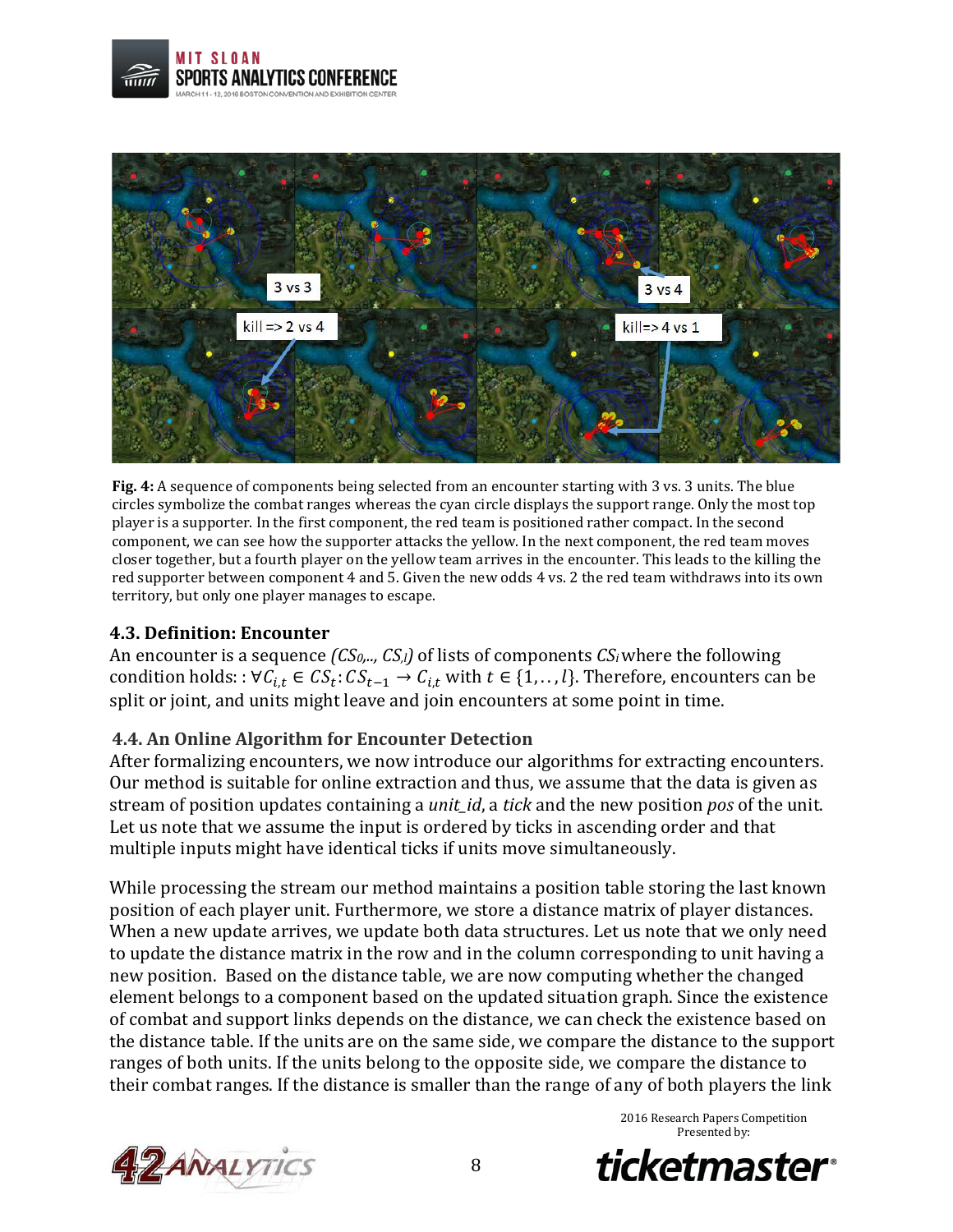





### **4.3. Definition: Encounter**

An encounter is a sequence *(CS0,.., CS,l)* of lists of components *CSi*where the following condition holds: :  $\forall c_{i,t} \in CS_t$ :  $CS_{t-1} \rightarrow C_{i,t}$  with  $t \in \{1, ..., l\}$ . Therefore, encounters can be split or joint, and units might leave and join encounters at some point in time.

### **4.4. An Online Algorithm for Encounter Detection**

After formalizing encounters, we now introduce our algorithms for extracting encounters. Our method is suitable for online extraction and thus, we assume that the data is given as stream of position updates containing a *unit\_id*, a *tick* and the new position *pos* of the unit. Let us note that we assume the input is ordered by ticks in ascending order and that multiple inputs might have identical ticks if units move simultaneously.

While processing the stream our method maintains a position table storing the last known position of each player unit. Furthermore, we store a distance matrix of player distances. When a new update arrives, we update both data structures. Let us note that we only need to update the distance matrix in the row and in the column corresponding to unit having a new position. Based on the distance table, we are now computing whether the changed element belongs to a component based on the updated situation graph. Since the existence of combat and support links depends on the distance, we can check the existence based on the distance table. If the units are on the same side, we compare the distance to the support ranges of both units. If the units belong to the opposite side, we compare the distance to their combat ranges. If the distance is smaller than the range of any of both players the link



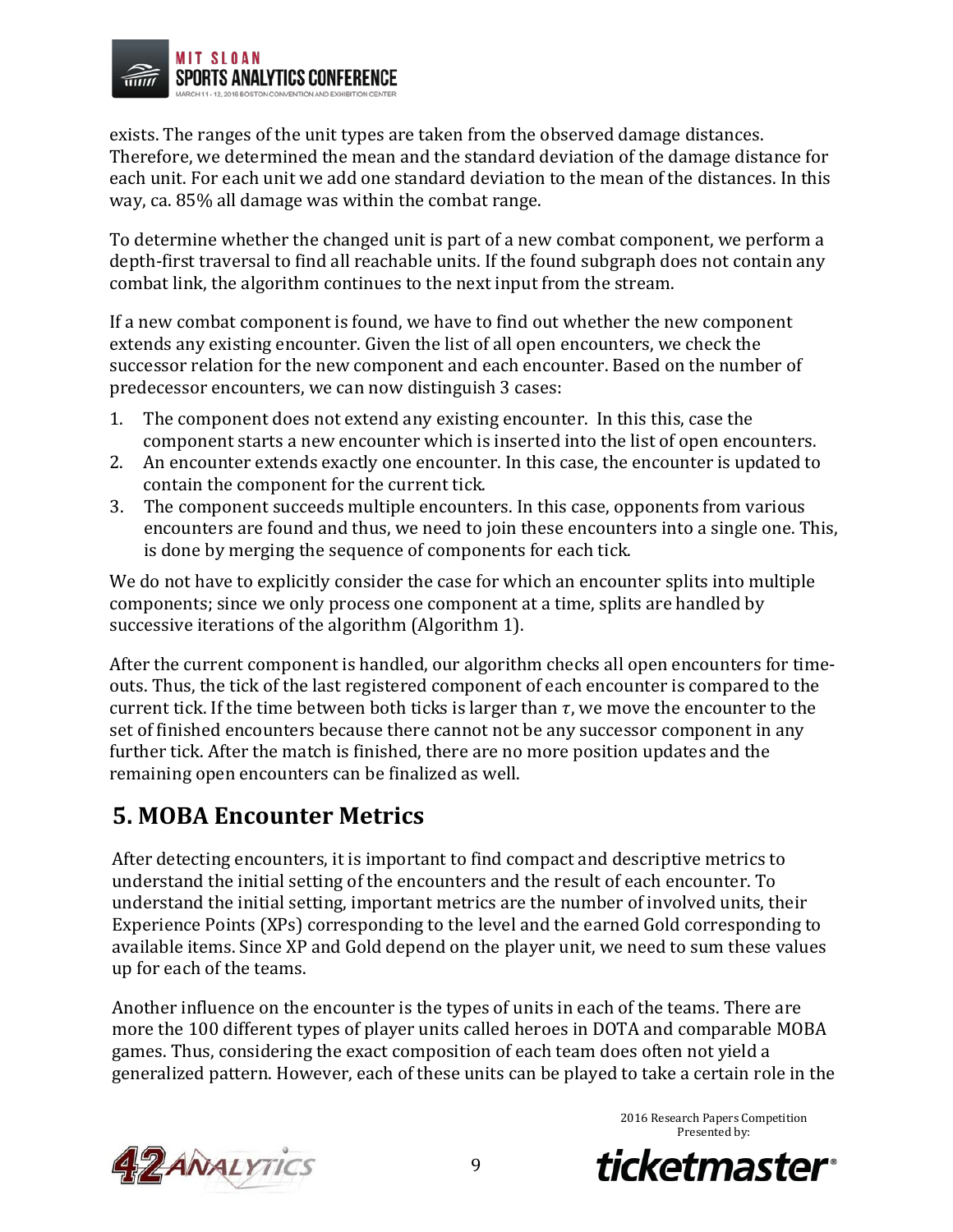

exists. The ranges of the unit types are taken from the observed damage distances. Therefore, we determined the mean and the standard deviation of the damage distance for each unit. For each unit we add one standard deviation to the mean of the distances. In this way, ca. 85% all damage was within the combat range.

To determine whether the changed unit is part of a new combat component, we perform a depth-first traversal to find all reachable units. If the found subgraph does not contain any combat link, the algorithm continues to the next input from the stream.

If a new combat component is found, we have to find out whether the new component extends any existing encounter. Given the list of all open encounters, we check the successor relation for the new component and each encounter. Based on the number of predecessor encounters, we can now distinguish 3 cases:

- 1. The component does not extend any existing encounter. In this this, case the component starts a new encounter which is inserted into the list of open encounters.
- 2. An encounter extends exactly one encounter. In this case, the encounter is updated to contain the component for the current tick.
- 3. The component succeeds multiple encounters. In this case, opponents from various encounters are found and thus, we need to join these encounters into a single one. This, is done by merging the sequence of components for each tick.

We do not have to explicitly consider the case for which an encounter splits into multiple components; since we only process one component at a time, splits are handled by successive iterations of the algorithm (Algorithm 1).

After the current component is handled, our algorithm checks all open encounters for timeouts. Thus, the tick of the last registered component of each encounter is compared to the current tick. If the time between both ticks is larger than  $\tau$ , we move the encounter to the set of finished encounters because there cannot not be any successor component in any further tick. After the match is finished, there are no more position updates and the remaining open encounters can be finalized as well.

## **5. MOBA Encounter Metrics**

After detecting encounters, it is important to find compact and descriptive metrics to understand the initial setting of the encounters and the result of each encounter. To understand the initial setting, important metrics are the number of involved units, their Experience Points (XPs) corresponding to the level and the earned Gold corresponding to available items. Since XP and Gold depend on the player unit, we need to sum these values up for each of the teams.

Another influence on the encounter is the types of units in each of the teams. There are more the 100 different types of player units called heroes in DOTA and comparable MOBA games. Thus, considering the exact composition of each team does often not yield a generalized pattern. However, each of these units can be played to take a certain role in the



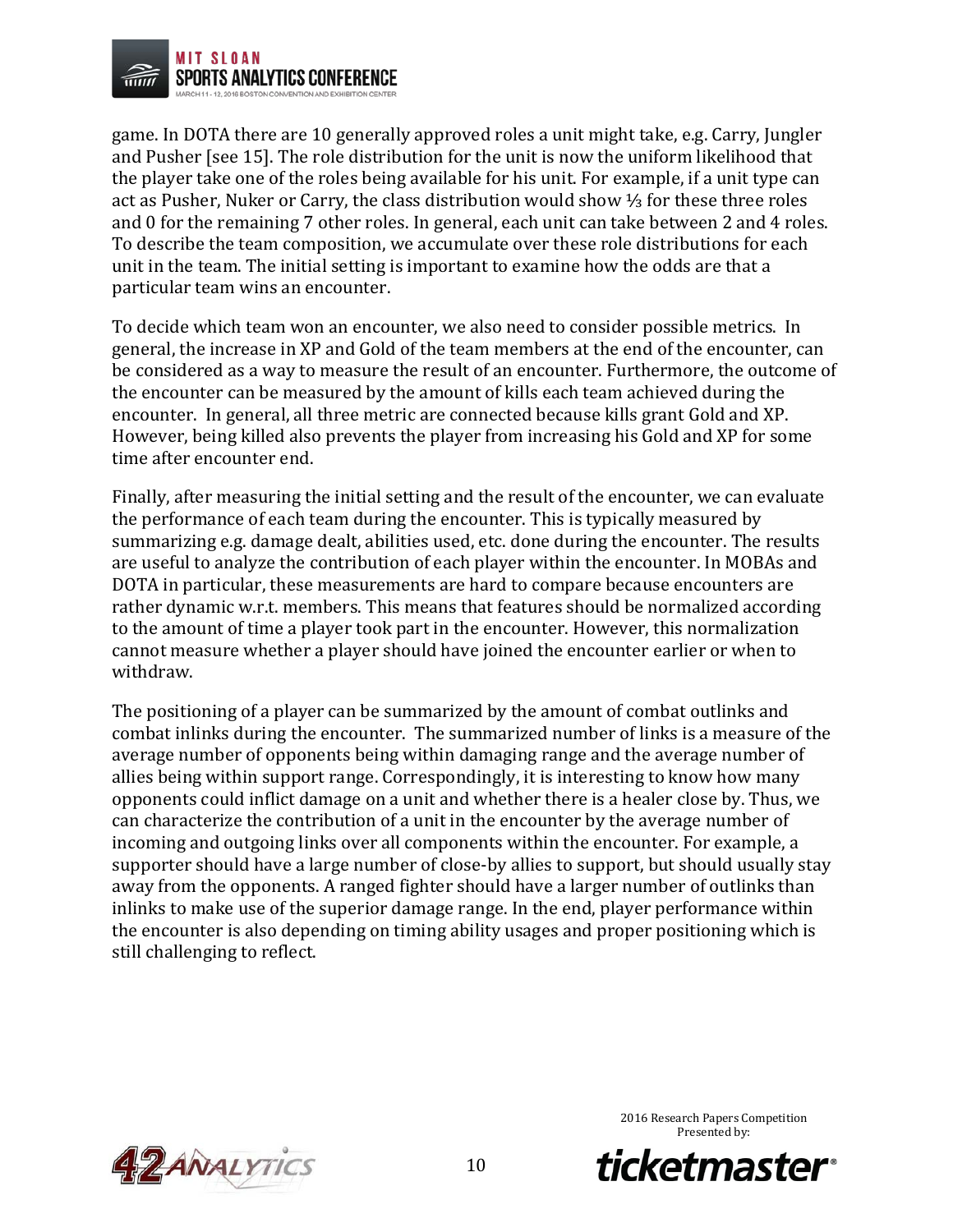

game. In DOTA there are 10 generally approved roles a unit might take, e.g. Carry, Jungler and Pusher [see 15]. The role distribution for the unit is now the uniform likelihood that the player take one of the roles being available for his unit. For example, if a unit type can act as Pusher, Nuker or Carry, the class distribution would show ⅓ for these three roles and 0 for the remaining 7 other roles. In general, each unit can take between 2 and 4 roles. To describe the team composition, we accumulate over these role distributions for each unit in the team. The initial setting is important to examine how the odds are that a particular team wins an encounter.

To decide which team won an encounter, we also need to consider possible metrics. In general, the increase in XP and Gold of the team members at the end of the encounter, can be considered as a way to measure the result of an encounter. Furthermore, the outcome of the encounter can be measured by the amount of kills each team achieved during the encounter. In general, all three metric are connected because kills grant Gold and XP. However, being killed also prevents the player from increasing his Gold and XP for some time after encounter end.

Finally, after measuring the initial setting and the result of the encounter, we can evaluate the performance of each team during the encounter. This is typically measured by summarizing e.g. damage dealt, abilities used, etc. done during the encounter. The results are useful to analyze the contribution of each player within the encounter. In MOBAs and DOTA in particular, these measurements are hard to compare because encounters are rather dynamic w.r.t. members. This means that features should be normalized according to the amount of time a player took part in the encounter. However, this normalization cannot measure whether a player should have joined the encounter earlier or when to withdraw.

The positioning of a player can be summarized by the amount of combat outlinks and combat inlinks during the encounter. The summarized number of links is a measure of the average number of opponents being within damaging range and the average number of allies being within support range. Correspondingly, it is interesting to know how many opponents could inflict damage on a unit and whether there is a healer close by. Thus, we can characterize the contribution of a unit in the encounter by the average number of incoming and outgoing links over all components within the encounter. For example, a supporter should have a large number of close-by allies to support, but should usually stay away from the opponents. A ranged fighter should have a larger number of outlinks than inlinks to make use of the superior damage range. In the end, player performance within the encounter is also depending on timing ability usages and proper positioning which is still challenging to reflect.



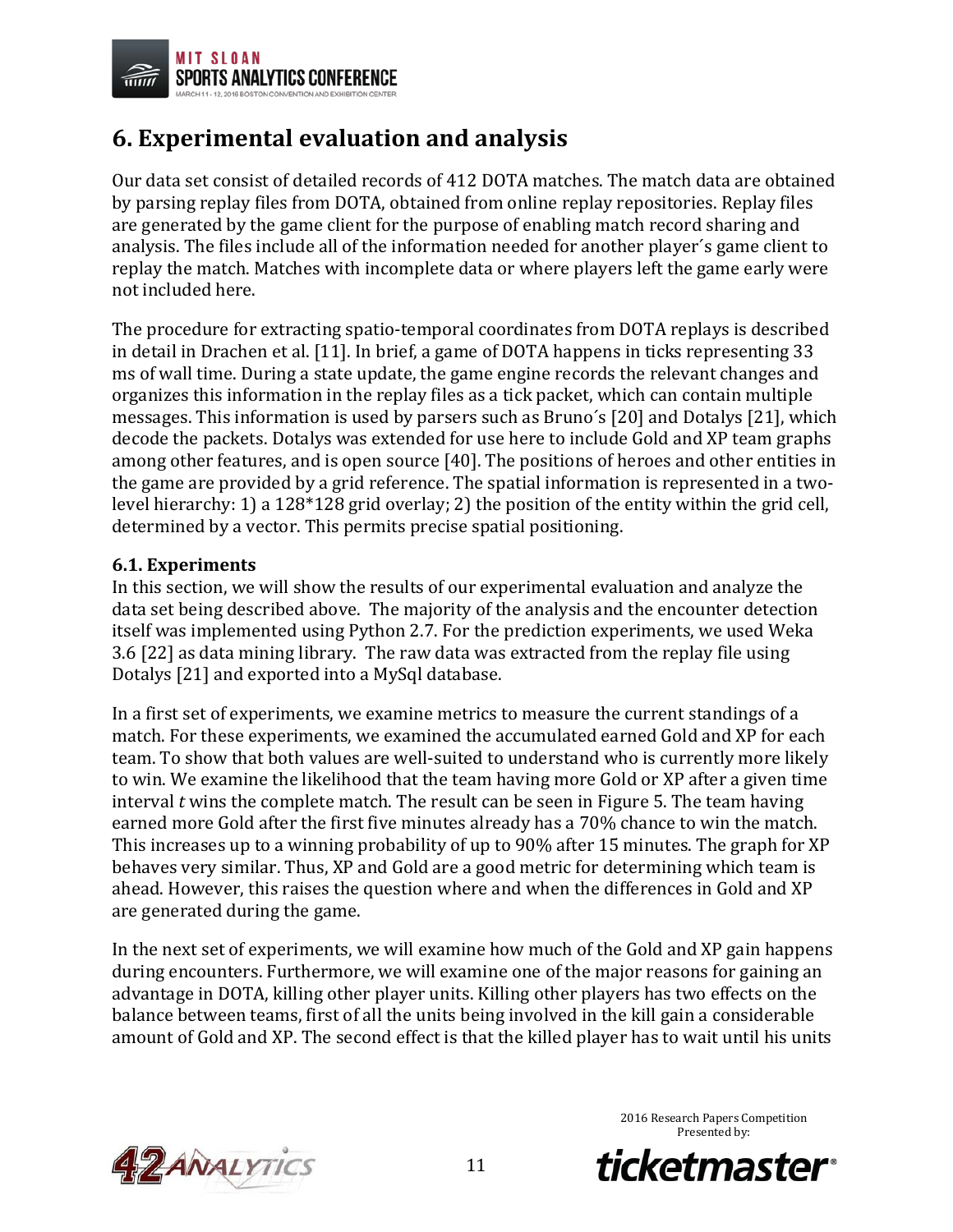

### **6. Experimental evaluation and analysis**

Our data set consist of detailed records of 412 DOTA matches. The match data are obtained by parsing replay files from DOTA, obtained from online replay repositories. Replay files are generated by the game client for the purpose of enabling match record sharing and analysis. The files include all of the information needed for another player´s game client to replay the match. Matches with incomplete data or where players left the game early were not included here.

The procedure for extracting spatio-temporal coordinates from DOTA replays is described in detail in Drachen et al. [11]. In brief, a game of DOTA happens in ticks representing 33 ms of wall time. During a state update, the game engine records the relevant changes and organizes this information in the replay files as a tick packet, which can contain multiple messages. This information is used by parsers such as Bruno´s [20] and Dotalys [21], which decode the packets. Dotalys was extended for use here to include Gold and XP team graphs among other features, and is open source [40]. The positions of heroes and other entities in the game are provided by a grid reference. The spatial information is represented in a twolevel hierarchy: 1) a 128\*128 grid overlay; 2) the position of the entity within the grid cell, determined by a vector. This permits precise spatial positioning.

### **6.1. Experiments**

In this section, we will show the results of our experimental evaluation and analyze the data set being described above. The majority of the analysis and the encounter detection itself was implemented using Python 2.7. For the prediction experiments, we used Weka 3.6 [22] as data mining library. The raw data was extracted from the replay file using Dotalys [21] and exported into a MySql database.

In a first set of experiments, we examine metrics to measure the current standings of a match. For these experiments, we examined the accumulated earned Gold and XP for each team. To show that both values are well-suited to understand who is currently more likely to win. We examine the likelihood that the team having more Gold or XP after a given time interval *t* wins the complete match. The result can be seen in Figure 5. The team having earned more Gold after the first five minutes already has a 70% chance to win the match. This increases up to a winning probability of up to 90% after 15 minutes. The graph for XP behaves very similar. Thus, XP and Gold are a good metric for determining which team is ahead. However, this raises the question where and when the differences in Gold and XP are generated during the game.

In the next set of experiments, we will examine how much of the Gold and XP gain happens during encounters. Furthermore, we will examine one of the major reasons for gaining an advantage in DOTA, killing other player units. Killing other players has two effects on the balance between teams, first of all the units being involved in the kill gain a considerable amount of Gold and XP. The second effect is that the killed player has to wait until his units



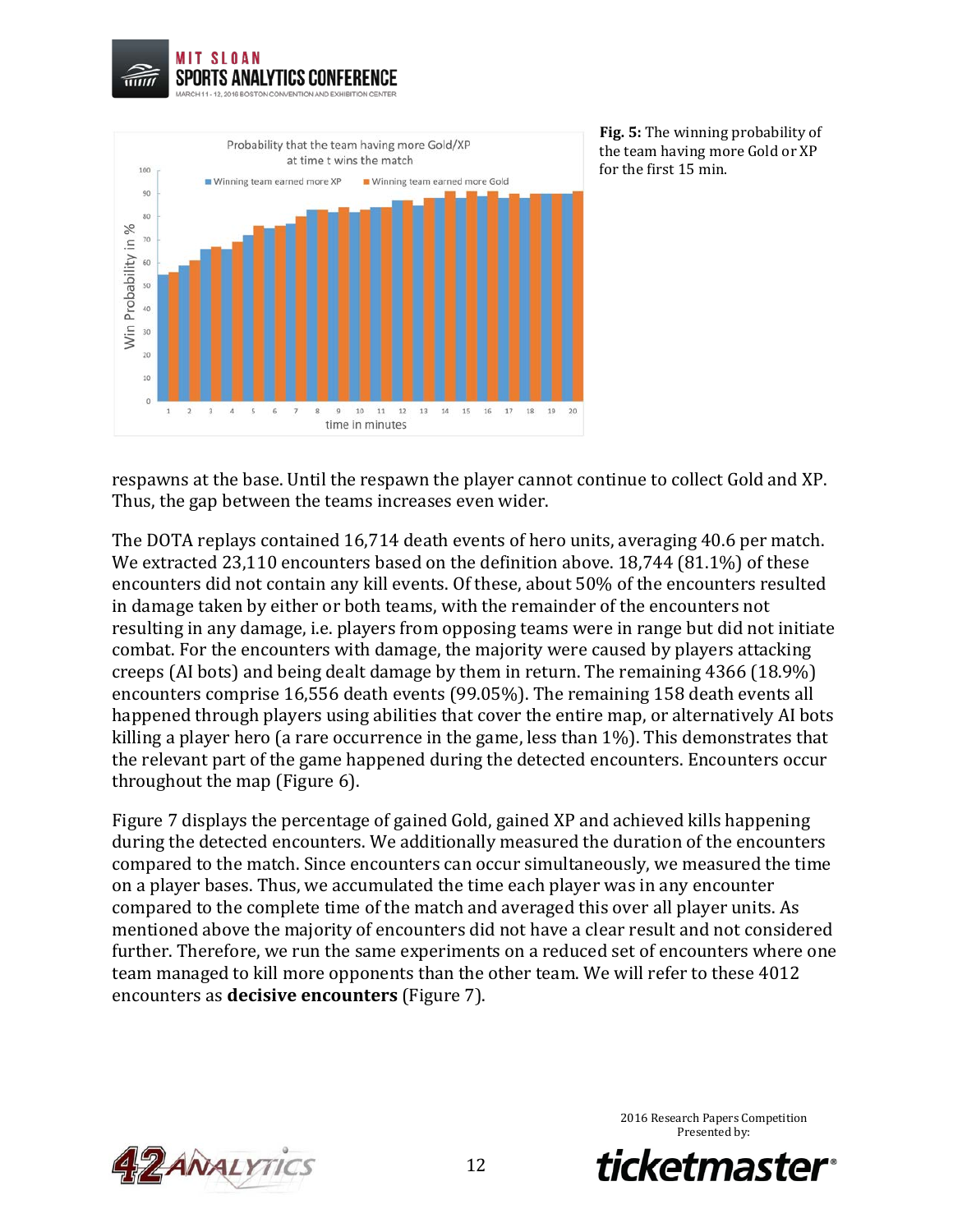



**Fig. 5:** The winning probability of the team having more Gold or XP for the first 15 min.

respawns at the base. Until the respawn the player cannot continue to collect Gold and XP. Thus, the gap between the teams increases even wider.

The DOTA replays contained 16,714 death events of hero units, averaging 40.6 per match. We extracted 23,110 encounters based on the definition above. 18,744 (81.1%) of these encounters did not contain any kill events. Of these, about 50% of the encounters resulted in damage taken by either or both teams, with the remainder of the encounters not resulting in any damage, i.e. players from opposing teams were in range but did not initiate combat. For the encounters with damage, the majority were caused by players attacking creeps (AI bots) and being dealt damage by them in return. The remaining 4366 (18.9%) encounters comprise 16,556 death events (99.05%). The remaining 158 death events all happened through players using abilities that cover the entire map, or alternatively AI bots killing a player hero (a rare occurrence in the game, less than 1%). This demonstrates that the relevant part of the game happened during the detected encounters. Encounters occur throughout the map (Figure 6).

Figure 7 displays the percentage of gained Gold, gained XP and achieved kills happening during the detected encounters. We additionally measured the duration of the encounters compared to the match. Since encounters can occur simultaneously, we measured the time on a player bases. Thus, we accumulated the time each player was in any encounter compared to the complete time of the match and averaged this over all player units. As mentioned above the majority of encounters did not have a clear result and not considered further. Therefore, we run the same experiments on a reduced set of encounters where one team managed to kill more opponents than the other team. We will refer to these 4012 encounters as **decisive encounters** (Figure 7).



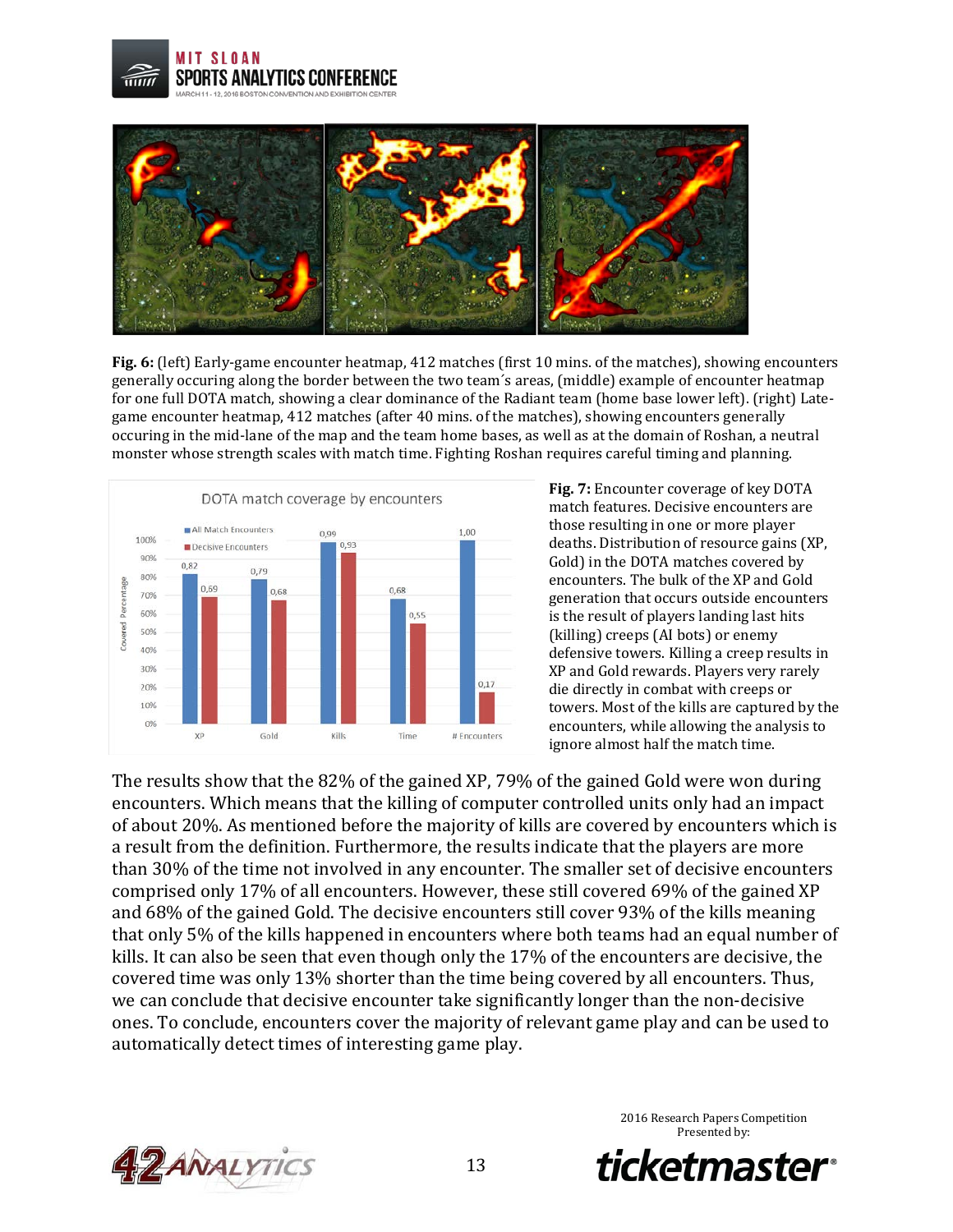**MIT SLOAN** SPORTS ANALYTICS CONFERENCE R ROSTON CONVENTION AND EXHIBITION CENTER



**Fig. 6:** (left) Early-game encounter heatmap, 412 matches (first 10 mins. of the matches), showing encounters generally occuring along the border between the two team´s areas, (middle) example of encounter heatmap for one full DOTA match, showing a clear dominance of the Radiant team (home base lower left). (right) Lategame encounter heatmap, 412 matches (after 40 mins. of the matches), showing encounters generally occuring in the mid-lane of the map and the team home bases, as well as at the domain of Roshan, a neutral monster whose strength scales with match time. Fighting Roshan requires careful timing and planning.



**Fig. 7:** Encounter coverage of key DOTA match features. Decisive encounters are those resulting in one or more player deaths. Distribution of resource gains (XP, Gold) in the DOTA matches covered by encounters. The bulk of the XP and Gold generation that occurs outside encounters is the result of players landing last hits (killing) creeps (AI bots) or enemy defensive towers. Killing a creep results in XP and Gold rewards. Players very rarely die directly in combat with creeps or towers. Most of the kills are captured by the encounters, while allowing the analysis to ignore almost half the match time.

The results show that the 82% of the gained XP, 79% of the gained Gold were won during encounters. Which means that the killing of computer controlled units only had an impact of about 20%. As mentioned before the majority of kills are covered by encounters which is a result from the definition. Furthermore, the results indicate that the players are more than 30% of the time not involved in any encounter. The smaller set of decisive encounters comprised only 17% of all encounters. However, these still covered 69% of the gained XP and 68% of the gained Gold. The decisive encounters still cover 93% of the kills meaning that only 5% of the kills happened in encounters where both teams had an equal number of kills. It can also be seen that even though only the 17% of the encounters are decisive, the covered time was only 13% shorter than the time being covered by all encounters. Thus, we can conclude that decisive encounter take significantly longer than the non-decisive ones. To conclude, encounters cover the majority of relevant game play and can be used to automatically detect times of interesting game play.



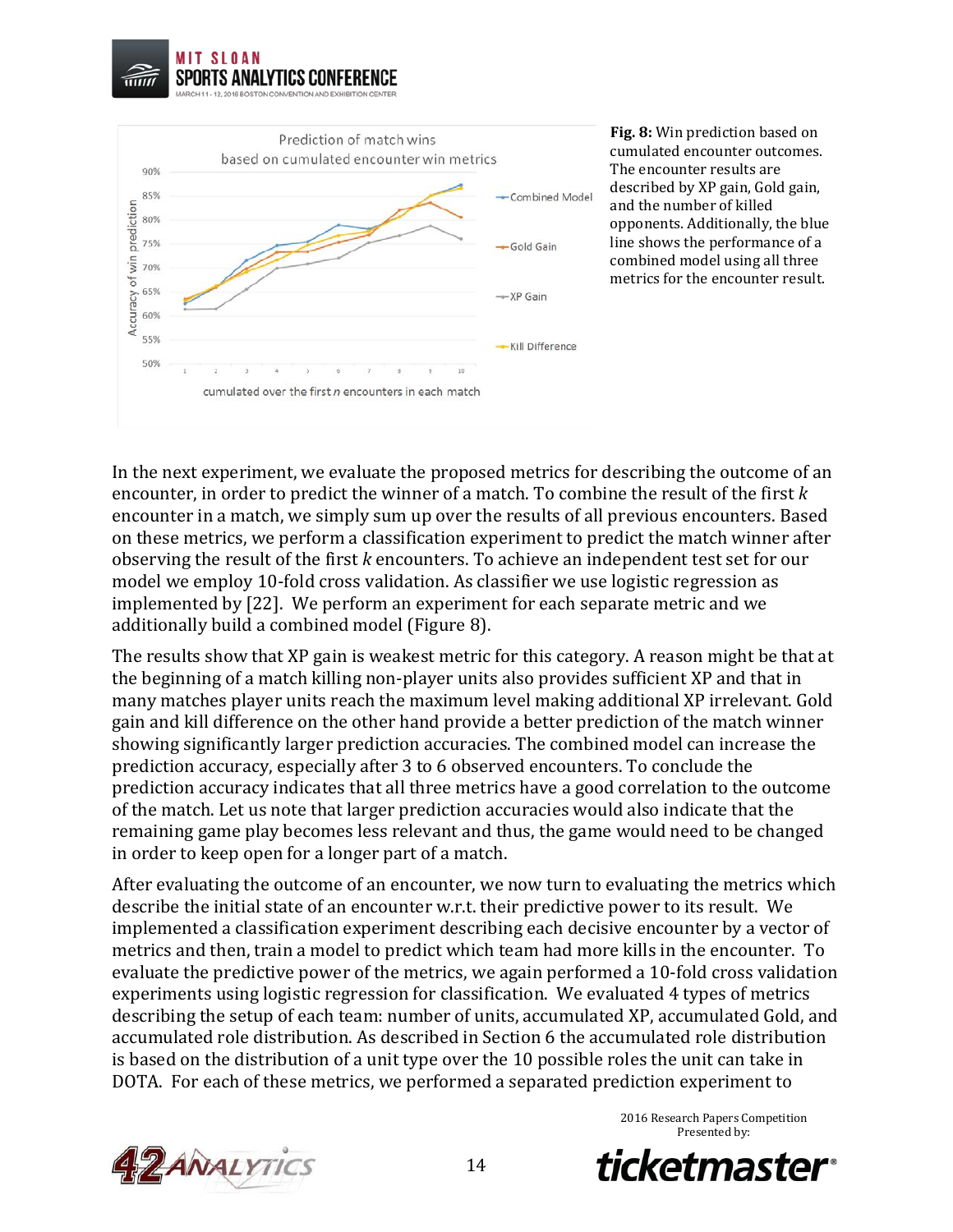



**Fig. 8:** Win prediction based on cumulated encounter outcomes. The encounter results are described by XP gain, Gold gain, and the number of killed opponents. Additionally, the blue line shows the performance of a combined model using all three metrics for the encounter result.

In the next experiment, we evaluate the proposed metrics for describing the outcome of an encounter, in order to predict the winner of a match. To combine the result of the first *k* encounter in a match, we simply sum up over the results of all previous encounters. Based on these metrics, we perform a classification experiment to predict the match winner after observing the result of the first *k* encounters. To achieve an independent test set for our model we employ 10-fold cross validation. As classifier we use logistic regression as implemented by [22]. We perform an experiment for each separate metric and we additionally build a combined model (Figure 8).

The results show that XP gain is weakest metric for this category. A reason might be that at the beginning of a match killing non-player units also provides sufficient XP and that in many matches player units reach the maximum level making additional XP irrelevant. Gold gain and kill difference on the other hand provide a better prediction of the match winner showing significantly larger prediction accuracies. The combined model can increase the prediction accuracy, especially after 3 to 6 observed encounters. To conclude the prediction accuracy indicates that all three metrics have a good correlation to the outcome of the match. Let us note that larger prediction accuracies would also indicate that the remaining game play becomes less relevant and thus, the game would need to be changed in order to keep open for a longer part of a match.

After evaluating the outcome of an encounter, we now turn to evaluating the metrics which describe the initial state of an encounter w.r.t. their predictive power to its result. We implemented a classification experiment describing each decisive encounter by a vector of metrics and then, train a model to predict which team had more kills in the encounter. To evaluate the predictive power of the metrics, we again performed a 10-fold cross validation experiments using logistic regression for classification. We evaluated 4 types of metrics describing the setup of each team: number of units, accumulated XP, accumulated Gold, and accumulated role distribution. As described in Section 6 the accumulated role distribution is based on the distribution of a unit type over the 10 possible roles the unit can take in DOTA. For each of these metrics, we performed a separated prediction experiment to





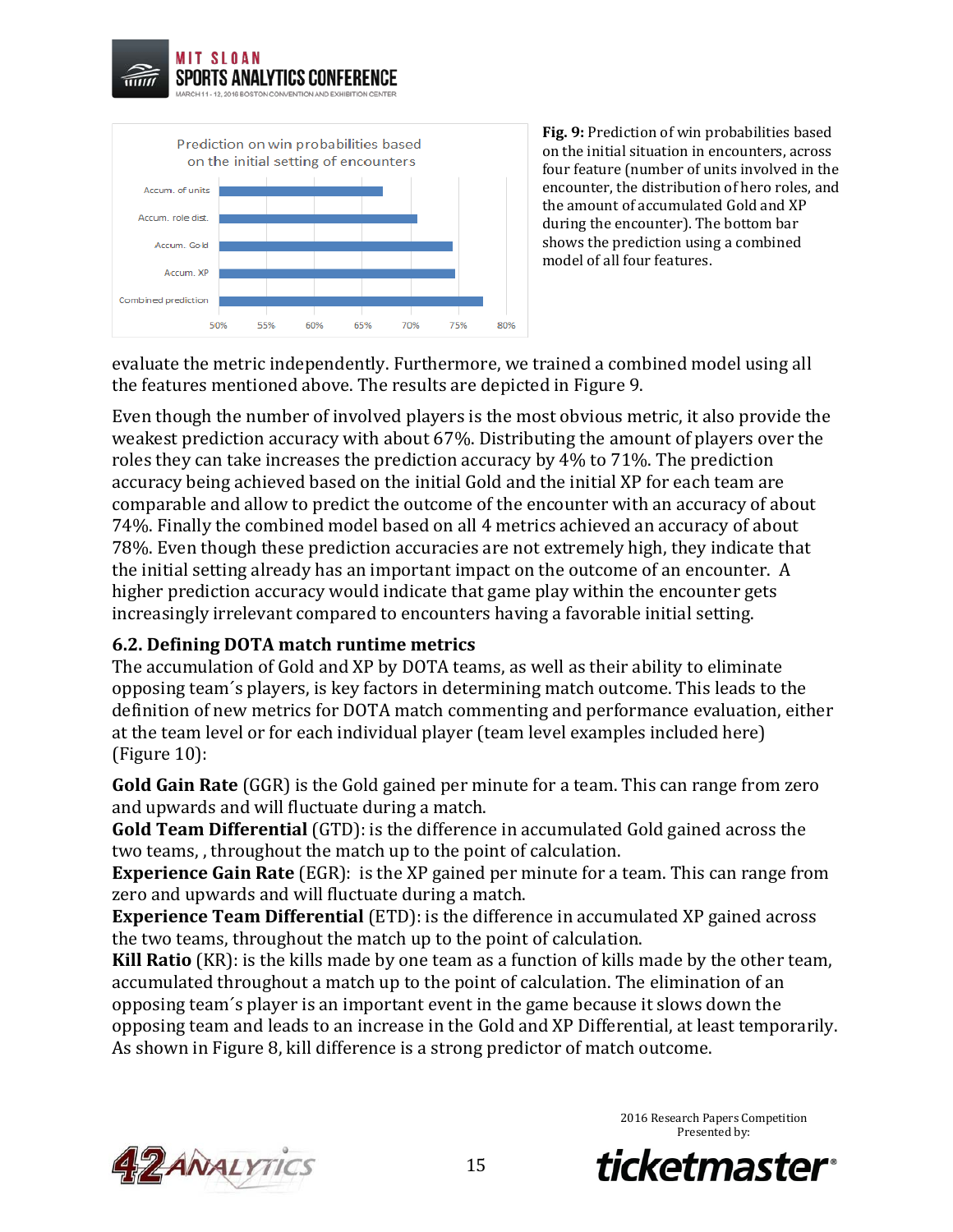



**Fig. 9:** Prediction of win probabilities based on the initial situation in encounters, across four feature (number of units involved in the encounter, the distribution of hero roles, and the amount of accumulated Gold and XP during the encounter). The bottom bar shows the prediction using a combined model of all four features.

evaluate the metric independently. Furthermore, we trained a combined model using all the features mentioned above. The results are depicted in Figure 9.

Even though the number of involved players is the most obvious metric, it also provide the weakest prediction accuracy with about 67%. Distributing the amount of players over the roles they can take increases the prediction accuracy by 4% to 71%. The prediction accuracy being achieved based on the initial Gold and the initial XP for each team are comparable and allow to predict the outcome of the encounter with an accuracy of about 74%. Finally the combined model based on all 4 metrics achieved an accuracy of about 78%. Even though these prediction accuracies are not extremely high, they indicate that the initial setting already has an important impact on the outcome of an encounter. A higher prediction accuracy would indicate that game play within the encounter gets increasingly irrelevant compared to encounters having a favorable initial setting.

### **6.2. Defining DOTA match runtime metrics**

The accumulation of Gold and XP by DOTA teams, as well as their ability to eliminate opposing team´s players, is key factors in determining match outcome. This leads to the definition of new metrics for DOTA match commenting and performance evaluation, either at the team level or for each individual player (team level examples included here) (Figure 10):

**Gold Gain Rate** (GGR) is the Gold gained per minute for a team. This can range from zero and upwards and will fluctuate during a match.

**Gold Team Differential** (GTD): is the difference in accumulated Gold gained across the two teams, , throughout the match up to the point of calculation.

**Experience Gain Rate** (EGR): is the XP gained per minute for a team. This can range from zero and upwards and will fluctuate during a match.

**Experience Team Differential** (ETD): is the difference in accumulated XP gained across the two teams, throughout the match up to the point of calculation.

**Kill Ratio** (KR): is the kills made by one team as a function of kills made by the other team, accumulated throughout a match up to the point of calculation. The elimination of an opposing team´s player is an important event in the game because it slows down the opposing team and leads to an increase in the Gold and XP Differential, at least temporarily. As shown in Figure 8, kill difference is a strong predictor of match outcome.



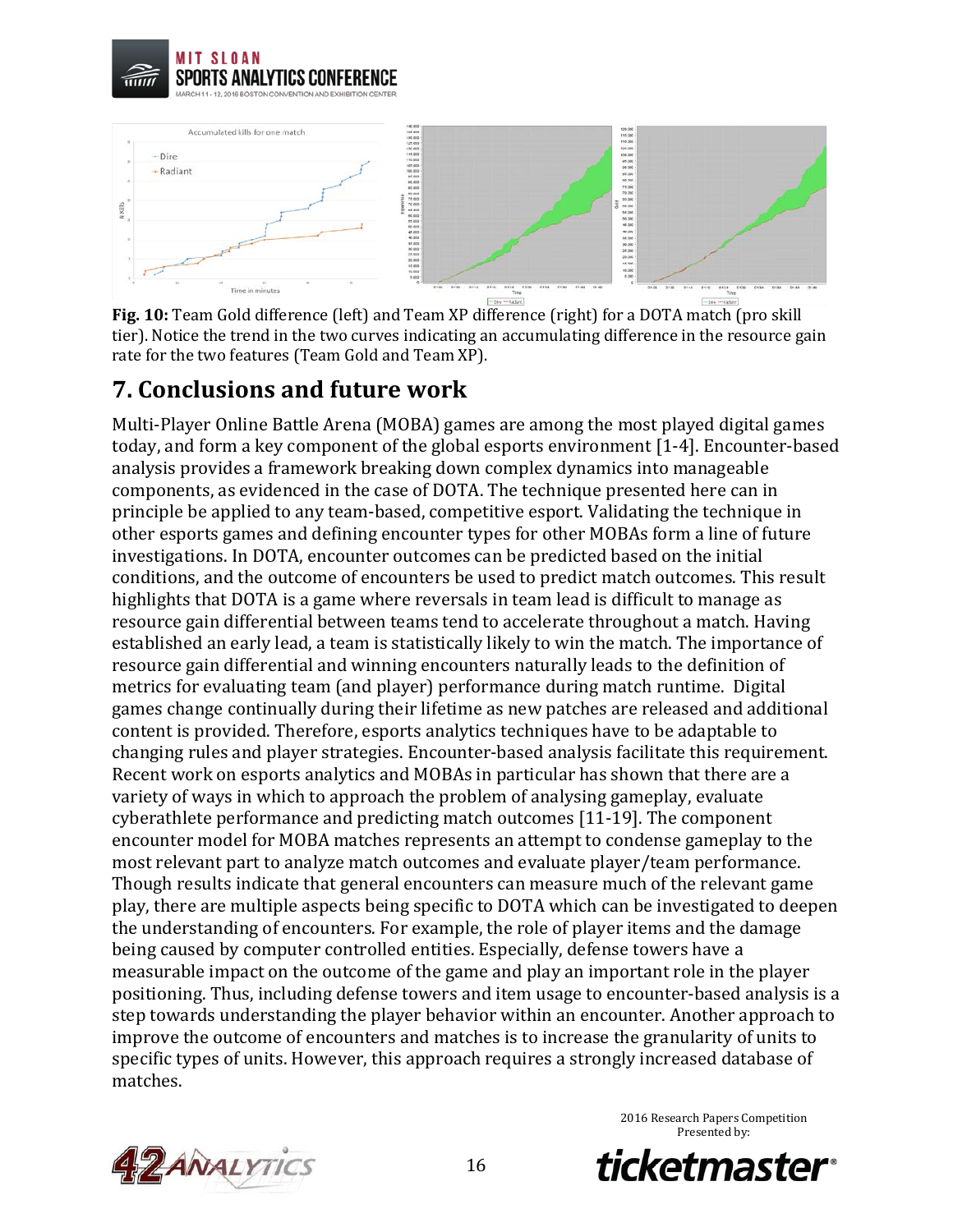



**Fig. 10:** Team Gold difference (left) and Team XP difference (right) for a DOTA match (pro skill tier). Notice the trend in the two curves indicating an accumulating difference in the resource gain rate for the two features (Team Gold and Team XP).

### **7. Conclusions and future work**

Multi-Player Online Battle Arena (MOBA) games are among the most played digital games today, and form a key component of the global esports environment [1-4]. Encounter-based analysis provides a framework breaking down complex dynamics into manageable components, as evidenced in the case of DOTA. The technique presented here can in principle be applied to any team-based, competitive esport. Validating the technique in other esports games and defining encounter types for other MOBAs form a line of future investigations. In DOTA, encounter outcomes can be predicted based on the initial conditions, and the outcome of encounters be used to predict match outcomes. This result highlights that DOTA is a game where reversals in team lead is difficult to manage as resource gain differential between teams tend to accelerate throughout a match. Having established an early lead, a team is statistically likely to win the match. The importance of resource gain differential and winning encounters naturally leads to the definition of metrics for evaluating team (and player) performance during match runtime. Digital games change continually during their lifetime as new patches are released and additional content is provided. Therefore, esports analytics techniques have to be adaptable to changing rules and player strategies. Encounter-based analysis facilitate this requirement. Recent work on esports analytics and MOBAs in particular has shown that there are a variety of ways in which to approach the problem of analysing gameplay, evaluate cyberathlete performance and predicting match outcomes [11-19]. The component encounter model for MOBA matches represents an attempt to condense gameplay to the most relevant part to analyze match outcomes and evaluate player/team performance. Though results indicate that general encounters can measure much of the relevant game play, there are multiple aspects being specific to DOTA which can be investigated to deepen the understanding of encounters. For example, the role of player items and the damage being caused by computer controlled entities. Especially, defense towers have a measurable impact on the outcome of the game and play an important role in the player positioning. Thus, including defense towers and item usage to encounter-based analysis is a step towards understanding the player behavior within an encounter. Another approach to improve the outcome of encounters and matches is to increase the granularity of units to specific types of units. However, this approach requires a strongly increased database of matches.



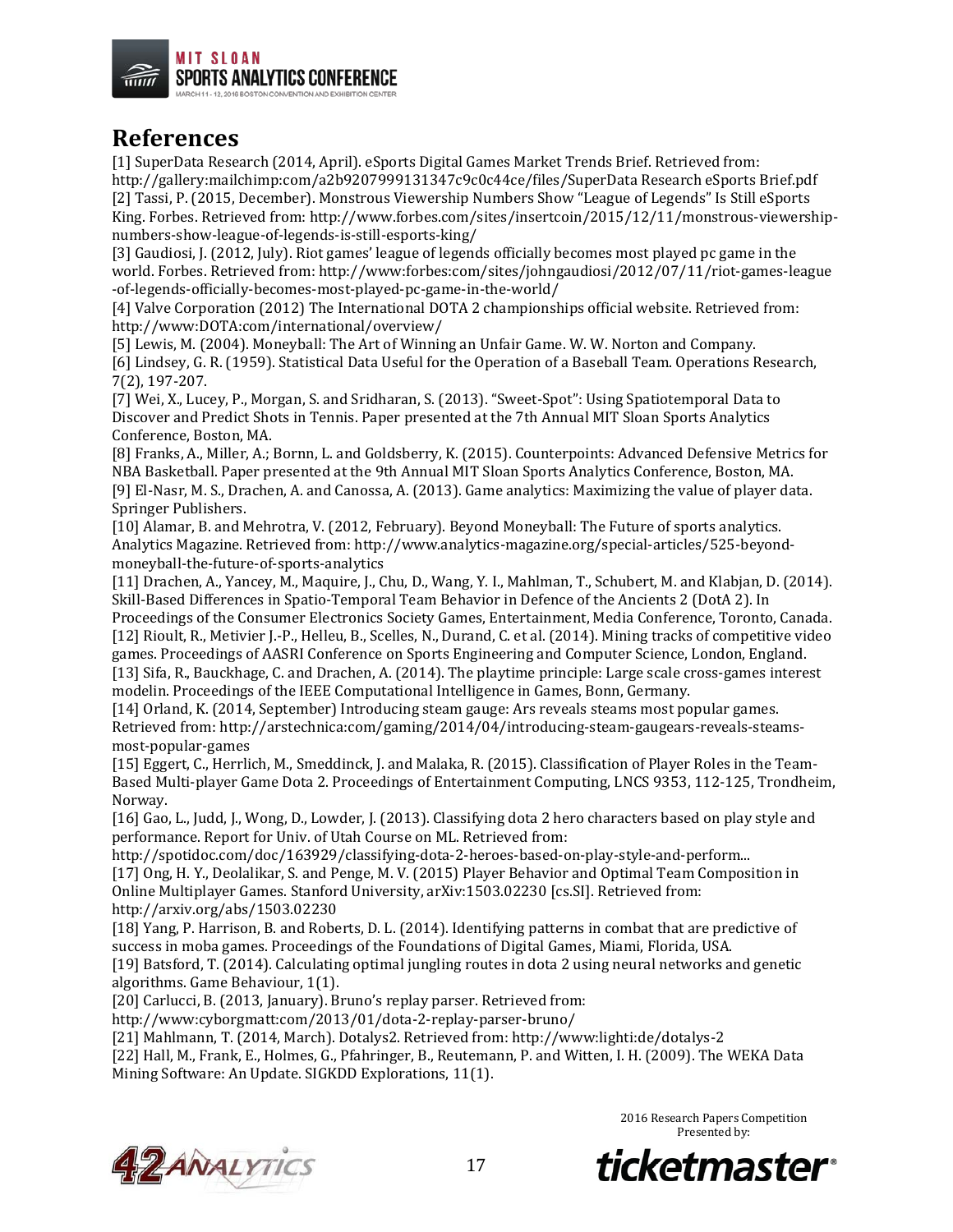

### **References**

[1] SuperData Research (2014, April). eSports Digital Games Market Trends Brief. Retrieved from: http://gallery:mailchimp:com/a2b9207999131347c9c0c44ce/files/SuperData Research eSports Brief.pdf [2] Tassi, P. (2015, December). Monstrous Viewership Numbers Show "League of Legends" Is Still eSports King. Forbes. Retrieved from: http://www.forbes.com/sites/insertcoin/2015/12/11/monstrous-viewershipnumbers-show-league-of-legends-is-still-esports-king/

[3] Gaudiosi, J. (2012, July). Riot games' league of legends officially becomes most played pc game in the world. Forbes. Retrieved from: http://www:forbes:com/sites/johngaudiosi/2012/07/11/riot-games-league -of-legends-officially-becomes-most-played-pc-game-in-the-world/

[4] Valve Corporation (2012) The International DOTA 2 championships official website. Retrieved from: http://www:DOTA:com/international/overview/

[5] Lewis, M. (2004). Moneyball: The Art of Winning an Unfair Game. W. W. Norton and Company. [6] Lindsey, G. R. (1959). Statistical Data Useful for the Operation of a Baseball Team. Operations Research, 7(2), 197-207.

[7] Wei, X., Lucey, P., Morgan, S. and Sridharan, S. (2013). "Sweet-Spot": Using Spatiotemporal Data to Discover and Predict Shots in Tennis. Paper presented at the 7th Annual MIT Sloan Sports Analytics Conference, Boston, MA.

[8] Franks, A., Miller, A.; Bornn, L. and Goldsberry, K. (2015). Counterpoints: Advanced Defensive Metrics for NBA Basketball. Paper presented at the 9th Annual MIT Sloan Sports Analytics Conference, Boston, MA. [9] El-Nasr, M. S., Drachen, A. and Canossa, A. (2013). Game analytics: Maximizing the value of player data. Springer Publishers.

[10] Alamar, B. and Mehrotra, V. (2012, February). Beyond Moneyball: The Future of sports analytics. Analytics Magazine. Retrieved from: http://www.analytics-magazine.org/special-articles/525-beyondmoneyball-the-future-of-sports-analytics

[11] Drachen, A., Yancey, M., Maquire, J., Chu, D., Wang, Y. I., Mahlman, T., Schubert, M. and Klabjan, D. (2014). Skill-Based Differences in Spatio-Temporal Team Behavior in Defence of the Ancients 2 (DotA 2). In Proceedings of the Consumer Electronics Society Games, Entertainment, Media Conference, Toronto, Canada.

[12] Rioult, R., Metivier J.-P., Helleu, B., Scelles, N., Durand, C. et al. (2014). Mining tracks of competitive video games. Proceedings of AASRI Conference on Sports Engineering and Computer Science, London, England. [13] Sifa, R., Bauckhage, C. and Drachen, A. (2014). The playtime principle: Large scale cross-games interest modelin. Proceedings of the IEEE Computational Intelligence in Games, Bonn, Germany.

[14] Orland, K. (2014, September) Introducing steam gauge: Ars reveals steams most popular games. Retrieved from: http://arstechnica:com/gaming/2014/04/introducing-steam-gaugears-reveals-steamsmost-popular-games

[15] Eggert, C., Herrlich, M., Smeddinck, J. and Malaka, R. (2015). Classification of Player Roles in the Team-Based Multi-player Game Dota 2. Proceedings of Entertainment Computing, LNCS 9353, 112-125, Trondheim, Norway.

[16] Gao, L., Judd, J., Wong, D., Lowder, J. (2013). Classifying dota 2 hero characters based on play style and performance. Report for Univ. of Utah Course on ML. Retrieved from:

http://spotidoc.com/doc/163929/classifying-dota-2-heroes-based-on-play-style-and-perform... [17] Ong, H. Y., Deolalikar, S. and Penge, M. V. (2015) Player Behavior and Optimal Team Composition in Online Multiplayer Games. Stanford University, arXiv:1503.02230 [cs.SI]. Retrieved from: http://arxiv.org/abs/1503.02230

[18] Yang, P. Harrison, B. and Roberts, D. L. (2014). Identifying patterns in combat that are predictive of success in moba games. Proceedings of the Foundations of Digital Games, Miami, Florida, USA. [19] Batsford, T. (2014). Calculating optimal jungling routes in dota 2 using neural networks and genetic

algorithms. Game Behaviour, 1(1).

[20] Carlucci, B. (2013, January). Bruno's replay parser. Retrieved from:

http://www:cyborgmatt:com/2013/01/dota-2-replay-parser-bruno/

[21] Mahlmann, T. (2014, March). Dotalys2. Retrieved from: http://www:lighti:de/dotalys-2

[22] Hall, M., Frank, E., Holmes, G., Pfahringer, B., Reutemann, P. and Witten, I. H. (2009). The WEKA Data Mining Software: An Update. SIGKDD Explorations, 11(1).